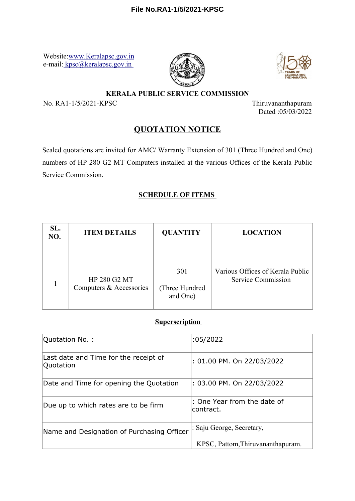Website[:www.Keralapsc.gov.in](file:////Uploads/EFILE/FileUploads/draftversion/pdf/www.Keralapsc.gov.in) e-mail[: kpsc@keralapsc.gov.in](file:////Uploads/EFILE/FileUploads/draftversion/pdf/kpsc@keralapsc.gov.in) 





#### **KERALA PUBLIC SERVICE COMMISSION**

No. RA1-1/5/2021-KPSC Thiruvananthapuram

Dated :05/03/2022

# **QUOTATION NOTICE**

Sealed quotations are invited for AMC/ Warranty Extension of 301 (Three Hundred and One) numbers of HP 280 G2 MT Computers installed at the various Offices of the Kerala Public Service Commission.

### **SCHEDULE OF ITEMS**

| SL.<br>NO. | <b>ITEM DETAILS</b>                     | <b>QUANTITY</b>                   | <b>LOCATION</b>                                               |
|------------|-----------------------------------------|-----------------------------------|---------------------------------------------------------------|
|            | HP 280 G2 MT<br>Computers & Accessories | 301<br>(Three Hundred<br>and One) | Various Offices of Kerala Public<br><b>Service Commission</b> |

## **Superscription**

| Quotation No.:                                     | :05/2022                                 |
|----------------------------------------------------|------------------------------------------|
| Last date and Time for the receipt of<br>Quotation | : 01.00 PM. On 22/03/2022                |
| Date and Time for opening the Quotation            | : 03.00 PM. On 22/03/2022                |
| Due up to which rates are to be firm               | : One Year from the date of<br>contract. |
| Name and Designation of Purchasing Officer         | : Saju George, Secretary,                |
|                                                    | KPSC, Pattom, Thiruvananthapuram.        |